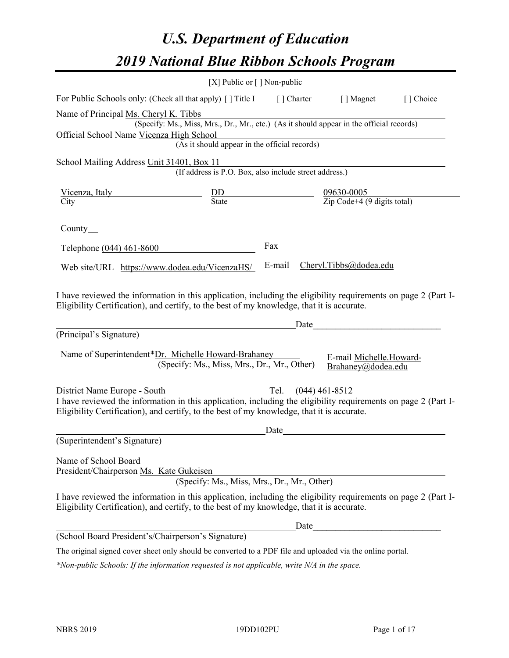# *U.S. Department of Education 2019 National Blue Ribbon Schools Program*

|                                                                                                                                                                                                              | [X] Public or [] Non-public                                                              |                       |                                                         |           |
|--------------------------------------------------------------------------------------------------------------------------------------------------------------------------------------------------------------|------------------------------------------------------------------------------------------|-----------------------|---------------------------------------------------------|-----------|
| For Public Schools only: (Check all that apply) [ ] Title I                                                                                                                                                  |                                                                                          | [] Charter            | [ ] Magnet                                              | [] Choice |
| Name of Principal Ms. Cheryl K. Tibbs                                                                                                                                                                        |                                                                                          |                       |                                                         |           |
|                                                                                                                                                                                                              | (Specify: Ms., Miss, Mrs., Dr., Mr., etc.) (As it should appear in the official records) |                       |                                                         |           |
| Official School Name Vicenza High School                                                                                                                                                                     |                                                                                          |                       |                                                         |           |
|                                                                                                                                                                                                              | (As it should appear in the official records)                                            |                       |                                                         |           |
| School Mailing Address Unit 31401, Box 11                                                                                                                                                                    |                                                                                          |                       |                                                         |           |
|                                                                                                                                                                                                              | (If address is P.O. Box, also include street address.)                                   |                       |                                                         |           |
| <u>Vicenza, Italy</u>                                                                                                                                                                                        |                                                                                          |                       |                                                         |           |
| City                                                                                                                                                                                                         | $rac{DD}{State}$                                                                         |                       | $\frac{09630-0005}{\text{Zip Code}+4 (9 digits total)}$ |           |
| County $\_\_$                                                                                                                                                                                                |                                                                                          |                       |                                                         |           |
| Telephone (044) 461-8600                                                                                                                                                                                     |                                                                                          | Fax                   |                                                         |           |
| Web site/URL https://www.dodea.edu/VicenzaHS/                                                                                                                                                                |                                                                                          | E-mail                | Cheryl.Tibbs@dodea.edu                                  |           |
| (Principal's Signature)<br>Name of Superintendent*Dr. Michelle Howard-Brahaney                                                                                                                               |                                                                                          | Date                  |                                                         |           |
|                                                                                                                                                                                                              | (Specify: Ms., Miss, Mrs., Dr., Mr., Other)                                              |                       | E-mail Michelle.Howard-<br>Brahaney@dodea.edu           |           |
| District Name Europe - South                                                                                                                                                                                 |                                                                                          | Tel. $(044)$ 461-8512 |                                                         |           |
| I have reviewed the information in this application, including the eligibility requirements on page 2 (Part I-<br>Eligibility Certification), and certify, to the best of my knowledge, that it is accurate. |                                                                                          |                       |                                                         |           |
|                                                                                                                                                                                                              |                                                                                          | Date                  |                                                         |           |
| (Superintendent's Signature)                                                                                                                                                                                 |                                                                                          |                       |                                                         |           |
| Name of School Board<br>President/Chairperson Ms. Kate Gukeisen                                                                                                                                              | (Specify: Ms., Miss, Mrs., Dr., Mr., Other)                                              |                       |                                                         |           |
| I have reviewed the information in this application, including the eligibility requirements on page 2 (Part I-<br>Eligibility Certification), and certify, to the best of my knowledge, that it is accurate. |                                                                                          |                       |                                                         |           |
|                                                                                                                                                                                                              |                                                                                          |                       | Date                                                    |           |
| (School Board President's/Chairperson's Signature)                                                                                                                                                           |                                                                                          |                       |                                                         |           |
| The original signed cover sheet only should be converted to a PDF file and uploaded via the online portal.                                                                                                   |                                                                                          |                       |                                                         |           |

*\*Non-public Schools: If the information requested is not applicable, write N/A in the space.*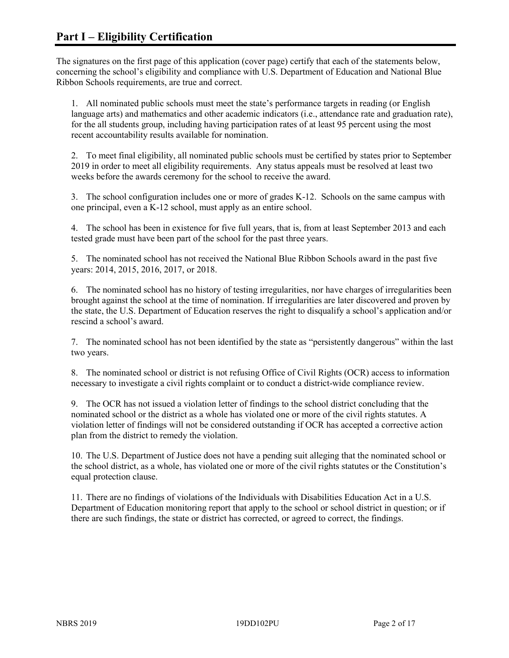The signatures on the first page of this application (cover page) certify that each of the statements below, concerning the school's eligibility and compliance with U.S. Department of Education and National Blue Ribbon Schools requirements, are true and correct.

1. All nominated public schools must meet the state's performance targets in reading (or English language arts) and mathematics and other academic indicators (i.e., attendance rate and graduation rate), for the all students group, including having participation rates of at least 95 percent using the most recent accountability results available for nomination.

2. To meet final eligibility, all nominated public schools must be certified by states prior to September 2019 in order to meet all eligibility requirements. Any status appeals must be resolved at least two weeks before the awards ceremony for the school to receive the award.

3. The school configuration includes one or more of grades K-12. Schools on the same campus with one principal, even a K-12 school, must apply as an entire school.

4. The school has been in existence for five full years, that is, from at least September 2013 and each tested grade must have been part of the school for the past three years.

5. The nominated school has not received the National Blue Ribbon Schools award in the past five years: 2014, 2015, 2016, 2017, or 2018.

6. The nominated school has no history of testing irregularities, nor have charges of irregularities been brought against the school at the time of nomination. If irregularities are later discovered and proven by the state, the U.S. Department of Education reserves the right to disqualify a school's application and/or rescind a school's award.

7. The nominated school has not been identified by the state as "persistently dangerous" within the last two years.

8. The nominated school or district is not refusing Office of Civil Rights (OCR) access to information necessary to investigate a civil rights complaint or to conduct a district-wide compliance review.

9. The OCR has not issued a violation letter of findings to the school district concluding that the nominated school or the district as a whole has violated one or more of the civil rights statutes. A violation letter of findings will not be considered outstanding if OCR has accepted a corrective action plan from the district to remedy the violation.

10. The U.S. Department of Justice does not have a pending suit alleging that the nominated school or the school district, as a whole, has violated one or more of the civil rights statutes or the Constitution's equal protection clause.

11. There are no findings of violations of the Individuals with Disabilities Education Act in a U.S. Department of Education monitoring report that apply to the school or school district in question; or if there are such findings, the state or district has corrected, or agreed to correct, the findings.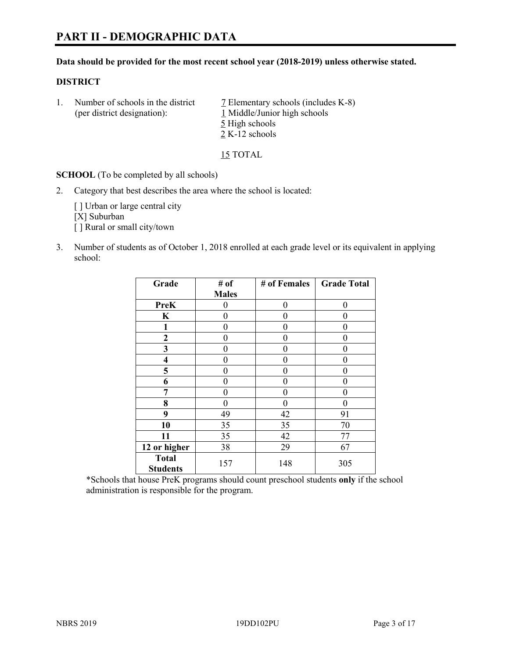#### **Data should be provided for the most recent school year (2018-2019) unless otherwise stated.**

#### **DISTRICT**

1. Number of schools in the district  $\overline{7}$  Elementary schools (includes K-8) (per district designation): 1 Middle/Junior high schools 5 High schools 2 K-12 schools

15 TOTAL

**SCHOOL** (To be completed by all schools)

2. Category that best describes the area where the school is located:

[ ] Urban or large central city [X] Suburban [] Rural or small city/town

3. Number of students as of October 1, 2018 enrolled at each grade level or its equivalent in applying school:

| Grade                           | # of         | # of Females   | <b>Grade Total</b> |
|---------------------------------|--------------|----------------|--------------------|
|                                 | <b>Males</b> |                |                    |
| <b>PreK</b>                     | 0            | $\overline{0}$ | 0                  |
| K                               | 0            | 0              |                    |
| 1                               | 0            | $\theta$       | 0                  |
| $\mathbf{2}$                    | 0            | 0              | 0                  |
| 3                               | 0            | 0              | 0                  |
| 4                               | 0            | $\theta$       | 0                  |
| 5                               | 0            | $\theta$       | 0                  |
| 6                               | 0            | $\theta$       | 0                  |
| 7                               | 0            | $\theta$       | 0                  |
| 8                               | 0            | $\theta$       | 0                  |
| 9                               | 49           | 42             | 91                 |
| 10                              | 35           | 35             | 70                 |
| 11                              | 35           | 42             | 77                 |
| 12 or higher                    | 38           | 29             | 67                 |
| <b>Total</b><br><b>Students</b> | 157          | 148            | 305                |

\*Schools that house PreK programs should count preschool students **only** if the school administration is responsible for the program.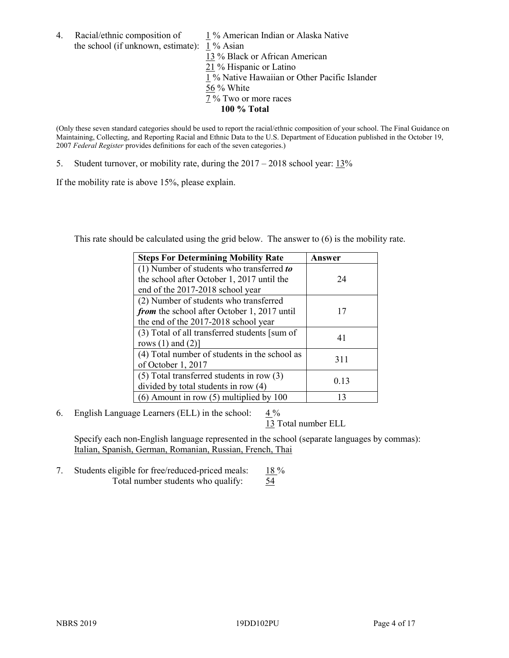4. Racial/ethnic composition of  $1\%$  American Indian or Alaska Native the school (if unknown, estimate): 1 % Asian

13 % Black or African American  $\frac{21}{21}$ % Hispanic or Latino  $\frac{1}{1}$ % Native Hawaiian or Other Pacific Islander 56 % White 7 % Two or more races **100 % Total**

(Only these seven standard categories should be used to report the racial/ethnic composition of your school. The Final Guidance on Maintaining, Collecting, and Reporting Racial and Ethnic Data to the U.S. Department of Education published in the October 19, 2007 *Federal Register* provides definitions for each of the seven categories.)

5. Student turnover, or mobility rate, during the 2017 – 2018 school year: 13%

If the mobility rate is above 15%, please explain.

This rate should be calculated using the grid below. The answer to (6) is the mobility rate.

| <b>Steps For Determining Mobility Rate</b>    | Answer |
|-----------------------------------------------|--------|
| (1) Number of students who transferred to     |        |
| the school after October 1, 2017 until the    | 24     |
| end of the 2017-2018 school year              |        |
| (2) Number of students who transferred        |        |
| from the school after October 1, 2017 until   | 17     |
| the end of the 2017-2018 school year          |        |
| (3) Total of all transferred students [sum of | 41     |
| rows $(1)$ and $(2)$ ]                        |        |
| (4) Total number of students in the school as |        |
| of October 1, 2017                            | 311    |
| $(5)$ Total transferred students in row $(3)$ |        |
| divided by total students in row (4)          | 0.13   |
| $(6)$ Amount in row $(5)$ multiplied by 100   | 13     |

6. English Language Learners (ELL) in the school:  $4\%$ 

13 Total number ELL

Specify each non-English language represented in the school (separate languages by commas): Italian, Spanish, German, Romanian, Russian, French, Thai

7. Students eligible for free/reduced-priced meals: 18% Total number students who qualify: 54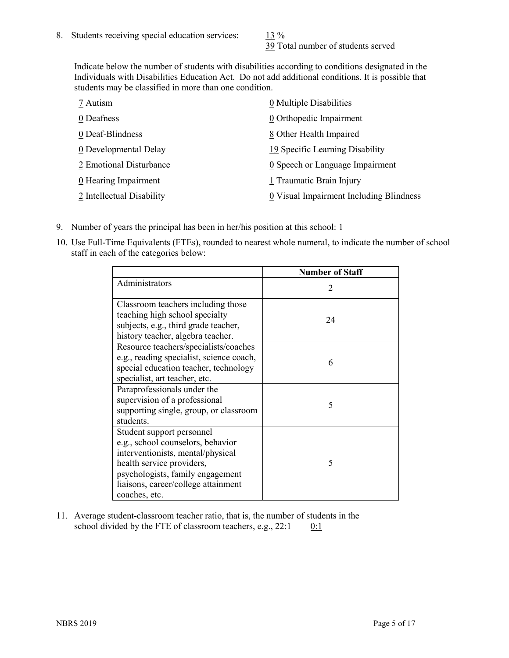39 Total number of students served

Indicate below the number of students with disabilities according to conditions designated in the Individuals with Disabilities Education Act. Do not add additional conditions. It is possible that students may be classified in more than one condition.

| 7 Autism                  | 0 Multiple Disabilities                 |
|---------------------------|-----------------------------------------|
| 0 Deafness                | 0 Orthopedic Impairment                 |
| 0 Deaf-Blindness          | 8 Other Health Impaired                 |
| 0 Developmental Delay     | 19 Specific Learning Disability         |
| 2 Emotional Disturbance   | 0 Speech or Language Impairment         |
| 0 Hearing Impairment      | 1 Traumatic Brain Injury                |
| 2 Intellectual Disability | 0 Visual Impairment Including Blindness |

- 9. Number of years the principal has been in her/his position at this school:  $1$
- 10. Use Full-Time Equivalents (FTEs), rounded to nearest whole numeral, to indicate the number of school staff in each of the categories below:

|                                                                                                                                                                                                                              | <b>Number of Staff</b>      |
|------------------------------------------------------------------------------------------------------------------------------------------------------------------------------------------------------------------------------|-----------------------------|
| Administrators                                                                                                                                                                                                               | $\mathcal{D}_{\mathcal{A}}$ |
| Classroom teachers including those<br>teaching high school specialty<br>subjects, e.g., third grade teacher,<br>history teacher, algebra teacher.                                                                            | 24                          |
| Resource teachers/specialists/coaches<br>e.g., reading specialist, science coach,<br>special education teacher, technology<br>specialist, art teacher, etc.                                                                  | 6                           |
| Paraprofessionals under the<br>supervision of a professional<br>supporting single, group, or classroom<br>students.                                                                                                          | 5                           |
| Student support personnel<br>e.g., school counselors, behavior<br>interventionists, mental/physical<br>health service providers,<br>psychologists, family engagement<br>liaisons, career/college attainment<br>coaches, etc. | 5                           |

11. Average student-classroom teacher ratio, that is, the number of students in the school divided by the FTE of classroom teachers, e.g.,  $22:1$  0:1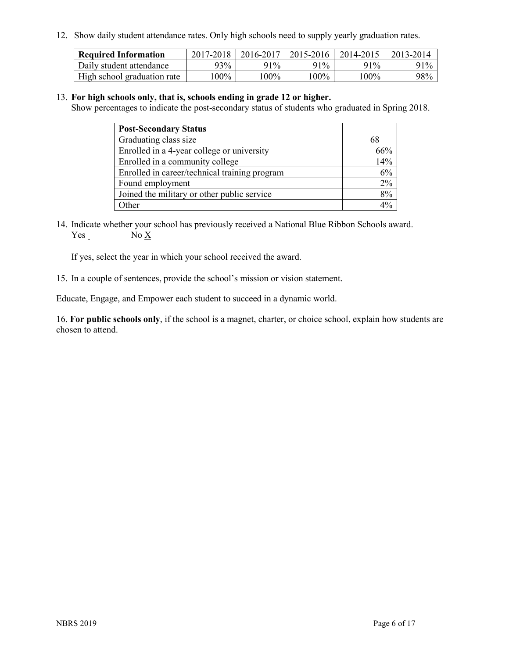12. Show daily student attendance rates. Only high schools need to supply yearly graduation rates.

| <b>Required Information</b> | 2017-2018 | 2016-2017 | 2015-2016 | 2014-2015 | 2013-2014 |
|-----------------------------|-----------|-----------|-----------|-----------|-----------|
| Daily student attendance    | 93%       | 91%       | 91%       | 91%       | 91%       |
| High school graduation rate | $00\%$    | $00\%$    | $00\%$    | l 00%     | 98%       |

#### 13. **For high schools only, that is, schools ending in grade 12 or higher.**

Show percentages to indicate the post-secondary status of students who graduated in Spring 2018.

| <b>Post-Secondary Status</b>                  |     |
|-----------------------------------------------|-----|
| Graduating class size                         | 68  |
| Enrolled in a 4-year college or university    | 66% |
| Enrolled in a community college               | 14% |
| Enrolled in career/technical training program | 6%  |
| Found employment                              | 2%  |
| Joined the military or other public service   | 8%  |
| Other                                         |     |

14. Indicate whether your school has previously received a National Blue Ribbon Schools award. Yes No X

If yes, select the year in which your school received the award.

15. In a couple of sentences, provide the school's mission or vision statement.

Educate, Engage, and Empower each student to succeed in a dynamic world.

16. **For public schools only**, if the school is a magnet, charter, or choice school, explain how students are chosen to attend.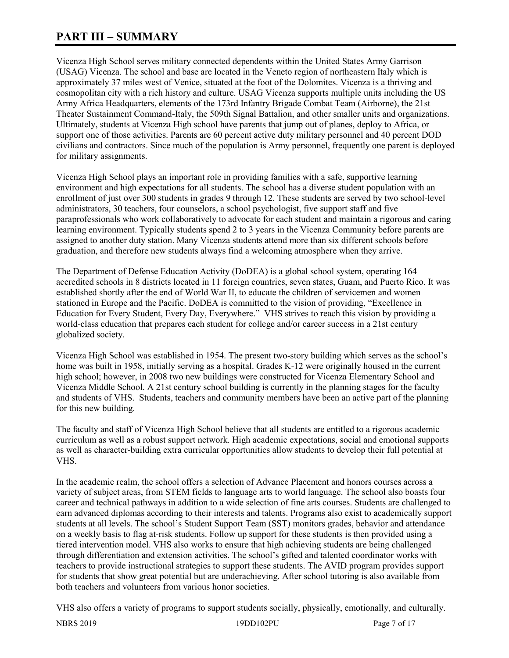# **PART III – SUMMARY**

Vicenza High School serves military connected dependents within the United States Army Garrison (USAG) Vicenza. The school and base are located in the Veneto region of northeastern Italy which is approximately 37 miles west of Venice, situated at the foot of the Dolomites. Vicenza is a thriving and cosmopolitan city with a rich history and culture. USAG Vicenza supports multiple units including the US Army Africa Headquarters, elements of the 173rd Infantry Brigade Combat Team (Airborne), the 21st Theater Sustainment Command-Italy, the 509th Signal Battalion, and other smaller units and organizations. Ultimately, students at Vicenza High school have parents that jump out of planes, deploy to Africa, or support one of those activities. Parents are 60 percent active duty military personnel and 40 percent DOD civilians and contractors. Since much of the population is Army personnel, frequently one parent is deployed for military assignments.

Vicenza High School plays an important role in providing families with a safe, supportive learning environment and high expectations for all students. The school has a diverse student population with an enrollment of just over 300 students in grades 9 through 12. These students are served by two school-level administrators, 30 teachers, four counselors, a school psychologist, five support staff and five paraprofessionals who work collaboratively to advocate for each student and maintain a rigorous and caring learning environment. Typically students spend 2 to 3 years in the Vicenza Community before parents are assigned to another duty station. Many Vicenza students attend more than six different schools before graduation, and therefore new students always find a welcoming atmosphere when they arrive.

The Department of Defense Education Activity (DoDEA) is a global school system, operating 164 accredited schools in 8 districts located in 11 foreign countries, seven states, Guam, and Puerto Rico. It was established shortly after the end of World War II, to educate the children of servicemen and women stationed in Europe and the Pacific. DoDEA is committed to the vision of providing, "Excellence in Education for Every Student, Every Day, Everywhere." VHS strives to reach this vision by providing a world-class education that prepares each student for college and/or career success in a 21st century globalized society.

Vicenza High School was established in 1954. The present two-story building which serves as the school's home was built in 1958, initially serving as a hospital. Grades K-12 were originally housed in the current high school; however, in 2008 two new buildings were constructed for Vicenza Elementary School and Vicenza Middle School. A 21st century school building is currently in the planning stages for the faculty and students of VHS. Students, teachers and community members have been an active part of the planning for this new building.

The faculty and staff of Vicenza High School believe that all students are entitled to a rigorous academic curriculum as well as a robust support network. High academic expectations, social and emotional supports as well as character-building extra curricular opportunities allow students to develop their full potential at VHS.

In the academic realm, the school offers a selection of Advance Placement and honors courses across a variety of subject areas, from STEM fields to language arts to world language. The school also boasts four career and technical pathways in addition to a wide selection of fine arts courses. Students are challenged to earn advanced diplomas according to their interests and talents. Programs also exist to academically support students at all levels. The school's Student Support Team (SST) monitors grades, behavior and attendance on a weekly basis to flag at-risk students. Follow up support for these students is then provided using a tiered intervention model. VHS also works to ensure that high achieving students are being challenged through differentiation and extension activities. The school's gifted and talented coordinator works with teachers to provide instructional strategies to support these students. The AVID program provides support for students that show great potential but are underachieving. After school tutoring is also available from both teachers and volunteers from various honor societies.

VHS also offers a variety of programs to support students socially, physically, emotionally, and culturally.

NBRS 2019 19DD102PU Page 7 of 17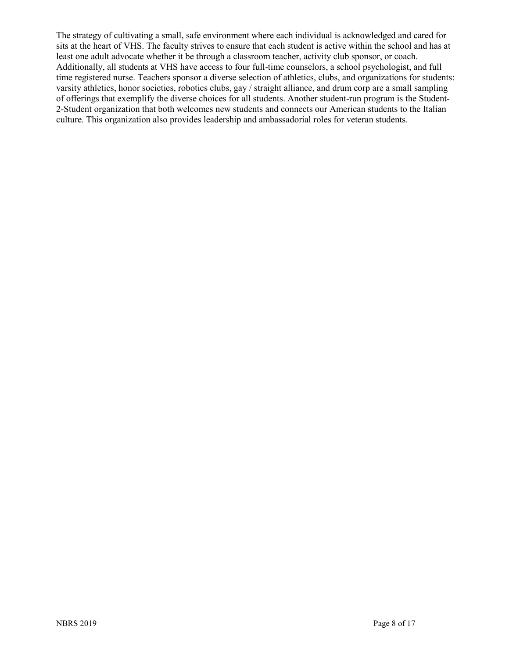The strategy of cultivating a small, safe environment where each individual is acknowledged and cared for sits at the heart of VHS. The faculty strives to ensure that each student is active within the school and has at least one adult advocate whether it be through a classroom teacher, activity club sponsor, or coach. Additionally, all students at VHS have access to four full-time counselors, a school psychologist, and full time registered nurse. Teachers sponsor a diverse selection of athletics, clubs, and organizations for students: varsity athletics, honor societies, robotics clubs, gay / straight alliance, and drum corp are a small sampling of offerings that exemplify the diverse choices for all students. Another student-run program is the Student-2-Student organization that both welcomes new students and connects our American students to the Italian culture. This organization also provides leadership and ambassadorial roles for veteran students.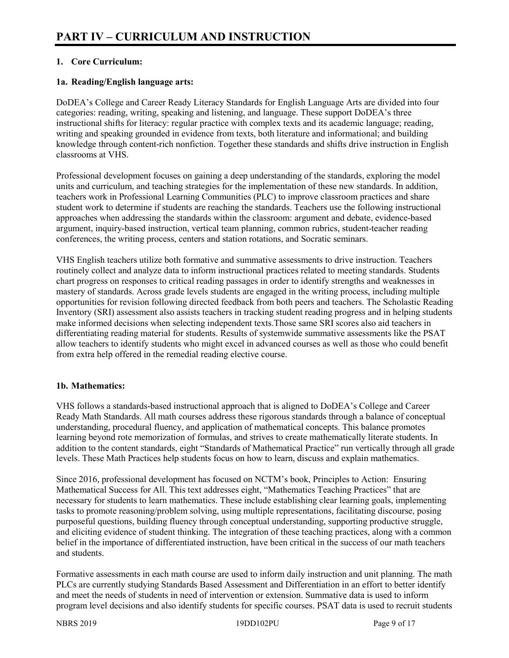# **1. Core Curriculum:**

# **1a. Reading/English language arts:**

DoDEA's College and Career Ready Literacy Standards for English Language Arts are divided into four categories: reading, writing, speaking and listening, and language. These support DoDEA's three instructional shifts for literacy: regular practice with complex texts and its academic language; reading, writing and speaking grounded in evidence from texts, both literature and informational; and building knowledge through content-rich nonfiction. Together these standards and shifts drive instruction in English classrooms at VHS.

Professional development focuses on gaining a deep understanding of the standards, exploring the model units and curriculum, and teaching strategies for the implementation of these new standards. In addition, teachers work in Professional Learning Communities (PLC) to improve classroom practices and share student work to determine if students are reaching the standards. Teachers use the following instructional approaches when addressing the standards within the classroom: argument and debate, evidence-based argument, inquiry-based instruction, vertical team planning, common rubrics, student-teacher reading conferences, the writing process, centers and station rotations, and Socratic seminars.

VHS English teachers utilize both formative and summative assessments to drive instruction. Teachers routinely collect and analyze data to inform instructional practices related to meeting standards. Students chart progress on responses to critical reading passages in order to identify strengths and weaknesses in mastery of standards. Across grade levels students are engaged in the writing process, including multiple opportunities for revision following directed feedback from both peers and teachers. The Scholastic Reading Inventory (SRI) assessment also assists teachers in tracking student reading progress and in helping students make informed decisions when selecting independent texts.Those same SRI scores also aid teachers in differentiating reading material for students. Results of systemwide summative assessments like the PSAT allow teachers to identify students who might excel in advanced courses as well as those who could benefit from extra help offered in the remedial reading elective course.

#### **1b. Mathematics:**

VHS follows a standards-based instructional approach that is aligned to DoDEA's College and Career Ready Math Standards. All math courses address these rigorous standards through a balance of conceptual understanding, procedural fluency, and application of mathematical concepts. This balance promotes learning beyond rote memorization of formulas, and strives to create mathematically literate students. In addition to the content standards, eight "Standards of Mathematical Practice" run vertically through all grade levels. These Math Practices help students focus on how to learn, discuss and explain mathematics.

Since 2016, professional development has focused on NCTM's book, Principles to Action: Ensuring Mathematical Success for All. This text addresses eight, "Mathematics Teaching Practices" that are necessary for students to learn mathematics. These include establishing clear learning goals, implementing tasks to promote reasoning/problem solving, using multiple representations, facilitating discourse, posing purposeful questions, building fluency through conceptual understanding, supporting productive struggle, and eliciting evidence of student thinking. The integration of these teaching practices, along with a common belief in the importance of differentiated instruction, have been critical in the success of our math teachers and students.

Formative assessments in each math course are used to inform daily instruction and unit planning. The math PLCs are currently studying Standards Based Assessment and Differentiation in an effort to better identify and meet the needs of students in need of intervention or extension. Summative data is used to inform program level decisions and also identify students for specific courses. PSAT data is used to recruit students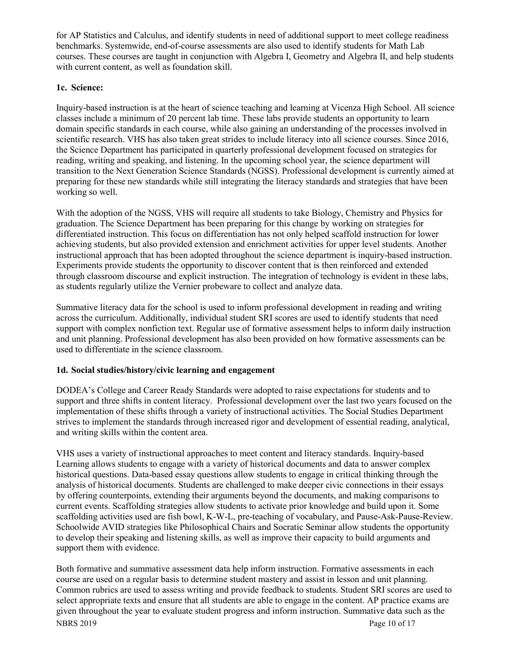for AP Statistics and Calculus, and identify students in need of additional support to meet college readiness benchmarks. Systemwide, end-of-course assessments are also used to identify students for Math Lab courses. These courses are taught in conjunction with Algebra I, Geometry and Algebra II, and help students with current content, as well as foundation skill.

## **1c. Science:**

Inquiry-based instruction is at the heart of science teaching and learning at Vicenza High School. All science classes include a minimum of 20 percent lab time. These labs provide students an opportunity to learn domain specific standards in each course, while also gaining an understanding of the processes involved in scientific research. VHS has also taken great strides to include literacy into all science courses. Since 2016, the Science Department has participated in quarterly professional development focused on strategies for reading, writing and speaking, and listening. In the upcoming school year, the science department will transition to the Next Generation Science Standards (NGSS). Professional development is currently aimed at preparing for these new standards while still integrating the literacy standards and strategies that have been working so well.

With the adoption of the NGSS, VHS will require all students to take Biology, Chemistry and Physics for graduation. The Science Department has been preparing for this change by working on strategies for differentiated instruction. This focus on differentiation has not only helped scaffold instruction for lower achieving students, but also provided extension and enrichment activities for upper level students. Another instructional approach that has been adopted throughout the science department is inquiry-based instruction. Experiments provide students the opportunity to discover content that is then reinforced and extended through classroom discourse and explicit instruction. The integration of technology is evident in these labs, as students regularly utilize the Vernier probeware to collect and analyze data.

Summative literacy data for the school is used to inform professional development in reading and writing across the curriculum. Additionally, individual student SRI scores are used to identify students that need support with complex nonfiction text. Regular use of formative assessment helps to inform daily instruction and unit planning. Professional development has also been provided on how formative assessments can be used to differentiate in the science classroom.

# **1d. Social studies/history/civic learning and engagement**

DODEA's College and Career Ready Standards were adopted to raise expectations for students and to support and three shifts in content literacy. Professional development over the last two years focused on the implementation of these shifts through a variety of instructional activities. The Social Studies Department strives to implement the standards through increased rigor and development of essential reading, analytical, and writing skills within the content area.

VHS uses a variety of instructional approaches to meet content and literacy standards. Inquiry-based Learning allows students to engage with a variety of historical documents and data to answer complex historical questions. Data-based essay questions allow students to engage in critical thinking through the analysis of historical documents. Students are challenged to make deeper civic connections in their essays by offering counterpoints, extending their arguments beyond the documents, and making comparisons to current events. Scaffolding strategies allow students to activate prior knowledge and build upon it. Some scaffolding activities used are fish bowl, K-W-L, pre-teaching of vocabulary, and Pause-Ask-Pause-Review. Schoolwide AVID strategies like Philosophical Chairs and Socratic Seminar allow students the opportunity to develop their speaking and listening skills, as well as improve their capacity to build arguments and support them with evidence.

NBRS 2019 Page 10 of 17 Both formative and summative assessment data help inform instruction. Formative assessments in each course are used on a regular basis to determine student mastery and assist in lesson and unit planning. Common rubrics are used to assess writing and provide feedback to students. Student SRI scores are used to select appropriate texts and ensure that all students are able to engage in the content. AP practice exams are given throughout the year to evaluate student progress and inform instruction. Summative data such as the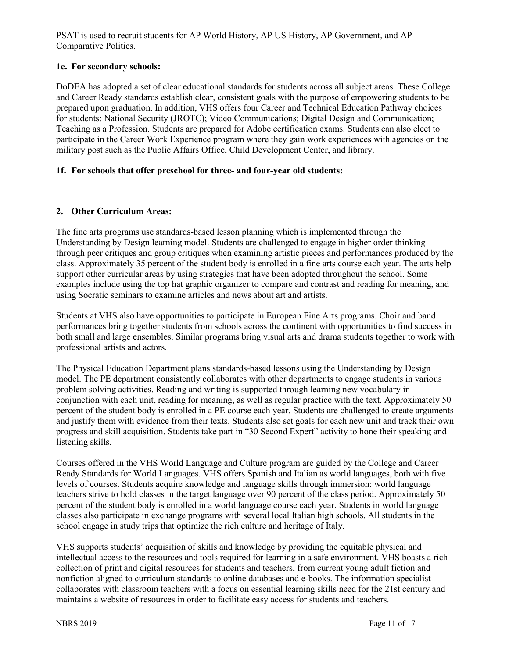PSAT is used to recruit students for AP World History, AP US History, AP Government, and AP Comparative Politics.

## **1e. For secondary schools:**

DoDEA has adopted a set of clear educational standards for students across all subject areas. These College and Career Ready standards establish clear, consistent goals with the purpose of empowering students to be prepared upon graduation. In addition, VHS offers four Career and Technical Education Pathway choices for students: National Security (JROTC); Video Communications; Digital Design and Communication; Teaching as a Profession. Students are prepared for Adobe certification exams. Students can also elect to participate in the Career Work Experience program where they gain work experiences with agencies on the military post such as the Public Affairs Office, Child Development Center, and library.

# **1f. For schools that offer preschool for three- and four-year old students:**

#### **2. Other Curriculum Areas:**

The fine arts programs use standards-based lesson planning which is implemented through the Understanding by Design learning model. Students are challenged to engage in higher order thinking through peer critiques and group critiques when examining artistic pieces and performances produced by the class. Approximately 35 percent of the student body is enrolled in a fine arts course each year. The arts help support other curricular areas by using strategies that have been adopted throughout the school. Some examples include using the top hat graphic organizer to compare and contrast and reading for meaning, and using Socratic seminars to examine articles and news about art and artists.

Students at VHS also have opportunities to participate in European Fine Arts programs. Choir and band performances bring together students from schools across the continent with opportunities to find success in both small and large ensembles. Similar programs bring visual arts and drama students together to work with professional artists and actors.

The Physical Education Department plans standards-based lessons using the Understanding by Design model. The PE department consistently collaborates with other departments to engage students in various problem solving activities. Reading and writing is supported through learning new vocabulary in conjunction with each unit, reading for meaning, as well as regular practice with the text. Approximately 50 percent of the student body is enrolled in a PE course each year. Students are challenged to create arguments and justify them with evidence from their texts. Students also set goals for each new unit and track their own progress and skill acquisition. Students take part in "30 Second Expert" activity to hone their speaking and listening skills.

Courses offered in the VHS World Language and Culture program are guided by the College and Career Ready Standards for World Languages. VHS offers Spanish and Italian as world languages, both with five levels of courses. Students acquire knowledge and language skills through immersion: world language teachers strive to hold classes in the target language over 90 percent of the class period. Approximately 50 percent of the student body is enrolled in a world language course each year. Students in world language classes also participate in exchange programs with several local Italian high schools. All students in the school engage in study trips that optimize the rich culture and heritage of Italy.

VHS supports students' acquisition of skills and knowledge by providing the equitable physical and intellectual access to the resources and tools required for learning in a safe environment. VHS boasts a rich collection of print and digital resources for students and teachers, from current young adult fiction and nonfiction aligned to curriculum standards to online databases and e-books. The information specialist collaborates with classroom teachers with a focus on essential learning skills need for the 21st century and maintains a website of resources in order to facilitate easy access for students and teachers.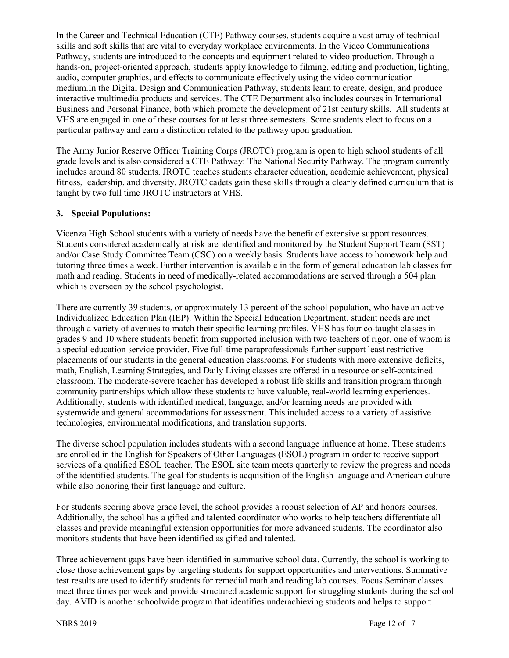In the Career and Technical Education (CTE) Pathway courses, students acquire a vast array of technical skills and soft skills that are vital to everyday workplace environments. In the Video Communications Pathway, students are introduced to the concepts and equipment related to video production. Through a hands-on, project-oriented approach, students apply knowledge to filming, editing and production, lighting, audio, computer graphics, and effects to communicate effectively using the video communication medium.In the Digital Design and Communication Pathway, students learn to create, design, and produce interactive multimedia products and services. The CTE Department also includes courses in International Business and Personal Finance, both which promote the development of 21st century skills. All students at VHS are engaged in one of these courses for at least three semesters. Some students elect to focus on a particular pathway and earn a distinction related to the pathway upon graduation.

The Army Junior Reserve Officer Training Corps (JROTC) program is open to high school students of all grade levels and is also considered a CTE Pathway: The National Security Pathway. The program currently includes around 80 students. JROTC teaches students character education, academic achievement, physical fitness, leadership, and diversity. JROTC cadets gain these skills through a clearly defined curriculum that is taught by two full time JROTC instructors at VHS.

#### **3. Special Populations:**

Vicenza High School students with a variety of needs have the benefit of extensive support resources. Students considered academically at risk are identified and monitored by the Student Support Team (SST) and/or Case Study Committee Team (CSC) on a weekly basis. Students have access to homework help and tutoring three times a week. Further intervention is available in the form of general education lab classes for math and reading. Students in need of medically-related accommodations are served through a 504 plan which is overseen by the school psychologist.

There are currently 39 students, or approximately 13 percent of the school population, who have an active Individualized Education Plan (IEP). Within the Special Education Department, student needs are met through a variety of avenues to match their specific learning profiles. VHS has four co-taught classes in grades 9 and 10 where students benefit from supported inclusion with two teachers of rigor, one of whom is a special education service provider. Five full-time paraprofessionals further support least restrictive placements of our students in the general education classrooms. For students with more extensive deficits, math, English, Learning Strategies, and Daily Living classes are offered in a resource or self-contained classroom. The moderate-severe teacher has developed a robust life skills and transition program through community partnerships which allow these students to have valuable, real-world learning experiences. Additionally, students with identified medical, language, and/or learning needs are provided with systemwide and general accommodations for assessment. This included access to a variety of assistive technologies, environmental modifications, and translation supports.

The diverse school population includes students with a second language influence at home. These students are enrolled in the English for Speakers of Other Languages (ESOL) program in order to receive support services of a qualified ESOL teacher. The ESOL site team meets quarterly to review the progress and needs of the identified students. The goal for students is acquisition of the English language and American culture while also honoring their first language and culture.

For students scoring above grade level, the school provides a robust selection of AP and honors courses. Additionally, the school has a gifted and talented coordinator who works to help teachers differentiate all classes and provide meaningful extension opportunities for more advanced students. The coordinator also monitors students that have been identified as gifted and talented.

Three achievement gaps have been identified in summative school data. Currently, the school is working to close those achievement gaps by targeting students for support opportunities and interventions. Summative test results are used to identify students for remedial math and reading lab courses. Focus Seminar classes meet three times per week and provide structured academic support for struggling students during the school day. AVID is another schoolwide program that identifies underachieving students and helps to support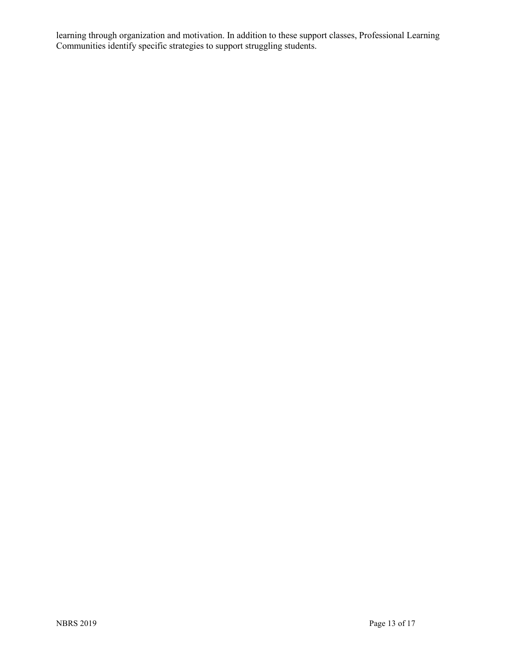learning through organization and motivation. In addition to these support classes, Professional Learning Communities identify specific strategies to support struggling students.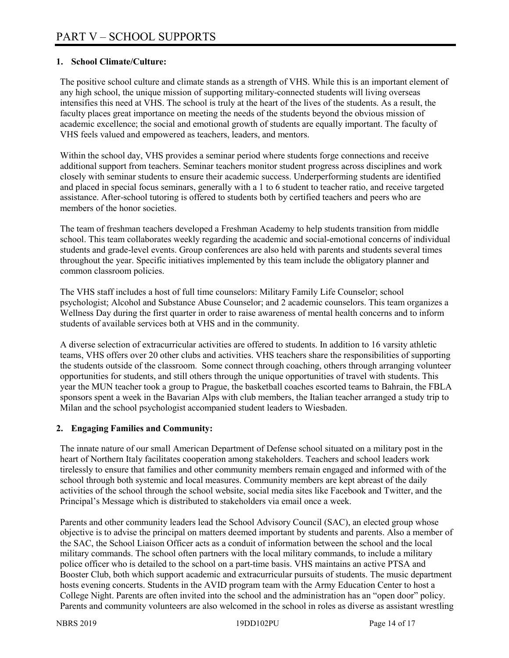### **1. School Climate/Culture:**

The positive school culture and climate stands as a strength of VHS. While this is an important element of any high school, the unique mission of supporting military-connected students will living overseas intensifies this need at VHS. The school is truly at the heart of the lives of the students. As a result, the faculty places great importance on meeting the needs of the students beyond the obvious mission of academic excellence; the social and emotional growth of students are equally important. The faculty of VHS feels valued and empowered as teachers, leaders, and mentors.

Within the school day, VHS provides a seminar period where students forge connections and receive additional support from teachers. Seminar teachers monitor student progress across disciplines and work closely with seminar students to ensure their academic success. Underperforming students are identified and placed in special focus seminars, generally with a 1 to 6 student to teacher ratio, and receive targeted assistance. After-school tutoring is offered to students both by certified teachers and peers who are members of the honor societies.

The team of freshman teachers developed a Freshman Academy to help students transition from middle school. This team collaborates weekly regarding the academic and social-emotional concerns of individual students and grade-level events. Group conferences are also held with parents and students several times throughout the year. Specific initiatives implemented by this team include the obligatory planner and common classroom policies.

The VHS staff includes a host of full time counselors: Military Family Life Counselor; school psychologist; Alcohol and Substance Abuse Counselor; and 2 academic counselors. This team organizes a Wellness Day during the first quarter in order to raise awareness of mental health concerns and to inform students of available services both at VHS and in the community.

A diverse selection of extracurricular activities are offered to students. In addition to 16 varsity athletic teams, VHS offers over 20 other clubs and activities. VHS teachers share the responsibilities of supporting the students outside of the classroom. Some connect through coaching, others through arranging volunteer opportunities for students, and still others through the unique opportunities of travel with students. This year the MUN teacher took a group to Prague, the basketball coaches escorted teams to Bahrain, the FBLA sponsors spent a week in the Bavarian Alps with club members, the Italian teacher arranged a study trip to Milan and the school psychologist accompanied student leaders to Wiesbaden.

#### **2. Engaging Families and Community:**

The innate nature of our small American Department of Defense school situated on a military post in the heart of Northern Italy facilitates cooperation among stakeholders. Teachers and school leaders work tirelessly to ensure that families and other community members remain engaged and informed with of the school through both systemic and local measures. Community members are kept abreast of the daily activities of the school through the school website, social media sites like Facebook and Twitter, and the Principal's Message which is distributed to stakeholders via email once a week.

Parents and other community leaders lead the School Advisory Council (SAC), an elected group whose objective is to advise the principal on matters deemed important by students and parents. Also a member of the SAC, the School Liaison Officer acts as a conduit of information between the school and the local military commands. The school often partners with the local military commands, to include a military police officer who is detailed to the school on a part-time basis. VHS maintains an active PTSA and Booster Club, both which support academic and extracurricular pursuits of students. The music department hosts evening concerts. Students in the AVID program team with the Army Education Center to host a College Night. Parents are often invited into the school and the administration has an "open door" policy. Parents and community volunteers are also welcomed in the school in roles as diverse as assistant wrestling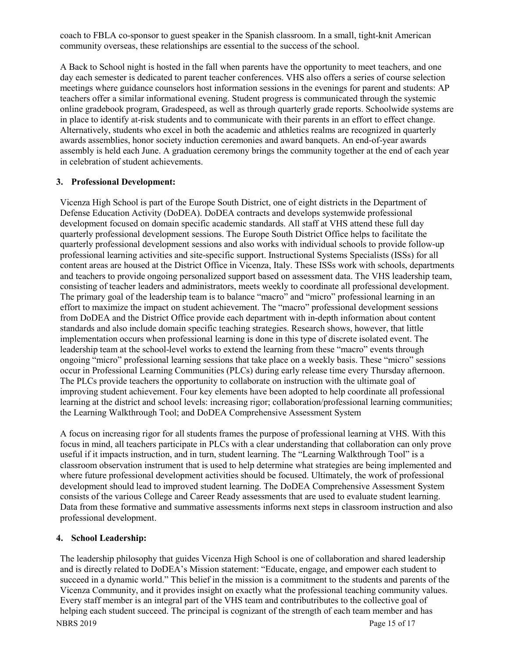coach to FBLA co-sponsor to guest speaker in the Spanish classroom. In a small, tight-knit American community overseas, these relationships are essential to the success of the school.

A Back to School night is hosted in the fall when parents have the opportunity to meet teachers, and one day each semester is dedicated to parent teacher conferences. VHS also offers a series of course selection meetings where guidance counselors host information sessions in the evenings for parent and students: AP teachers offer a similar informational evening. Student progress is communicated through the systemic online gradebook program, Gradespeed, as well as through quarterly grade reports. Schoolwide systems are in place to identify at-risk students and to communicate with their parents in an effort to effect change. Alternatively, students who excel in both the academic and athletics realms are recognized in quarterly awards assemblies, honor society induction ceremonies and award banquets. An end-of-year awards assembly is held each June. A graduation ceremony brings the community together at the end of each year in celebration of student achievements.

#### **3. Professional Development:**

Vicenza High School is part of the Europe South District, one of eight districts in the Department of Defense Education Activity (DoDEA). DoDEA contracts and develops systemwide professional development focused on domain specific academic standards. All staff at VHS attend these full day quarterly professional development sessions. The Europe South District Office helps to facilitate the quarterly professional development sessions and also works with individual schools to provide follow-up professional learning activities and site-specific support. Instructional Systems Specialists (ISSs) for all content areas are housed at the District Office in Vicenza, Italy. These ISSs work with schools, departments and teachers to provide ongoing personalized support based on assessment data. The VHS leadership team, consisting of teacher leaders and administrators, meets weekly to coordinate all professional development. The primary goal of the leadership team is to balance "macro" and "micro" professional learning in an effort to maximize the impact on student achievement. The "macro" professional development sessions from DoDEA and the District Office provide each department with in-depth information about content standards and also include domain specific teaching strategies. Research shows, however, that little implementation occurs when professional learning is done in this type of discrete isolated event. The leadership team at the school-level works to extend the learning from these "macro" events through ongoing "micro" professional learning sessions that take place on a weekly basis. These "micro" sessions occur in Professional Learning Communities (PLCs) during early release time every Thursday afternoon. The PLCs provide teachers the opportunity to collaborate on instruction with the ultimate goal of improving student achievement. Four key elements have been adopted to help coordinate all professional learning at the district and school levels: increasing rigor; collaboration/professional learning communities; the Learning Walkthrough Tool; and DoDEA Comprehensive Assessment System

A focus on increasing rigor for all students frames the purpose of professional learning at VHS. With this focus in mind, all teachers participate in PLCs with a clear understanding that collaboration can only prove useful if it impacts instruction, and in turn, student learning. The "Learning Walkthrough Tool" is a classroom observation instrument that is used to help determine what strategies are being implemented and where future professional development activities should be focused. Ultimately, the work of professional development should lead to improved student learning. The DoDEA Comprehensive Assessment System consists of the various College and Career Ready assessments that are used to evaluate student learning. Data from these formative and summative assessments informs next steps in classroom instruction and also professional development.

#### **4. School Leadership:**

NBRS 2019 Page 15 of 17 The leadership philosophy that guides Vicenza High School is one of collaboration and shared leadership and is directly related to DoDEA's Mission statement: "Educate, engage, and empower each student to succeed in a dynamic world." This belief in the mission is a commitment to the students and parents of the Vicenza Community, and it provides insight on exactly what the professional teaching community values. Every staff member is an integral part of the VHS team and contributributes to the collective goal of helping each student succeed. The principal is cognizant of the strength of each team member and has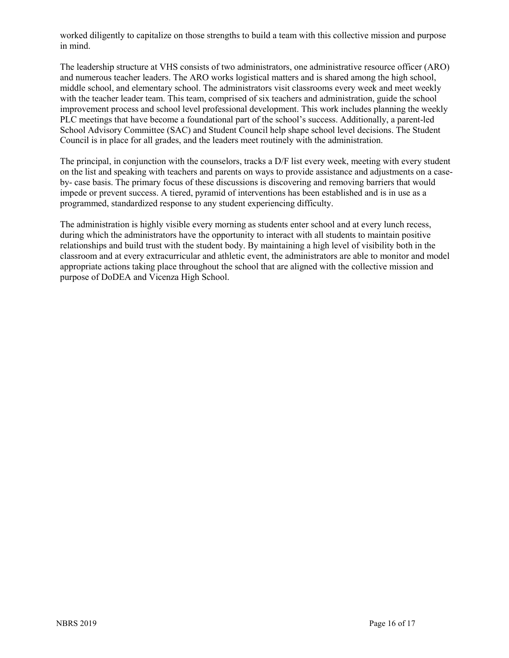worked diligently to capitalize on those strengths to build a team with this collective mission and purpose in mind.

The leadership structure at VHS consists of two administrators, one administrative resource officer (ARO) and numerous teacher leaders. The ARO works logistical matters and is shared among the high school, middle school, and elementary school. The administrators visit classrooms every week and meet weekly with the teacher leader team. This team, comprised of six teachers and administration, guide the school improvement process and school level professional development. This work includes planning the weekly PLC meetings that have become a foundational part of the school's success. Additionally, a parent-led School Advisory Committee (SAC) and Student Council help shape school level decisions. The Student Council is in place for all grades, and the leaders meet routinely with the administration.

The principal, in conjunction with the counselors, tracks a D/F list every week, meeting with every student on the list and speaking with teachers and parents on ways to provide assistance and adjustments on a caseby- case basis. The primary focus of these discussions is discovering and removing barriers that would impede or prevent success. A tiered, pyramid of interventions has been established and is in use as a programmed, standardized response to any student experiencing difficulty.

The administration is highly visible every morning as students enter school and at every lunch recess, during which the administrators have the opportunity to interact with all students to maintain positive relationships and build trust with the student body. By maintaining a high level of visibility both in the classroom and at every extracurricular and athletic event, the administrators are able to monitor and model appropriate actions taking place throughout the school that are aligned with the collective mission and purpose of DoDEA and Vicenza High School.